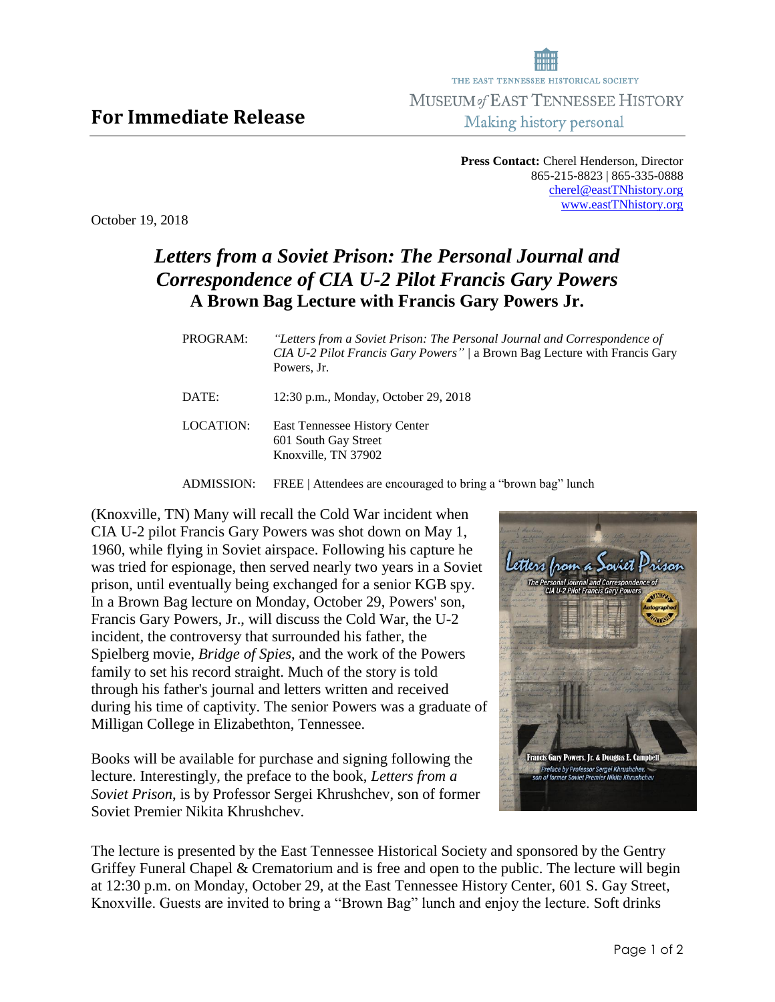**Press Contact:** Cherel Henderson, Director 865-215-8823 | 865-335-0888 [cherel@eastTNhistory.org](mailto:cherel@eastTNhistory.org) [www.eastTNhistory.org](http://www.easttnhistory.org/)

October 19, 2018

**For Immediate Release**

## *Letters from a Soviet Prison: The Personal Journal and Correspondence of CIA U-2 Pilot Francis Gary Powers* **A Brown Bag Lecture with Francis Gary Powers Jr.**

| PROGRAM:  | "Letters from a Soviet Prison: The Personal Journal and Correspondence of<br>CIA U-2 Pilot Francis Gary Powers" / a Brown Bag Lecture with Francis Gary<br>Powers, Jr. |
|-----------|------------------------------------------------------------------------------------------------------------------------------------------------------------------------|
| DATE:     | 12:30 p.m., Monday, October 29, 2018                                                                                                                                   |
| LOCATION: | East Tennessee History Center<br>601 South Gay Street<br>Knoxville, TN 37902                                                                                           |
|           |                                                                                                                                                                        |

ADMISSION: FREE | Attendees are encouraged to bring a "brown bag" lunch

(Knoxville, TN) Many will recall the Cold War incident when CIA U-2 pilot Francis Gary Powers was shot down on May 1, 1960, while flying in Soviet airspace. Following his capture he was tried for espionage, then served nearly two years in a Soviet prison, until eventually being exchanged for a senior KGB spy. In a Brown Bag lecture on Monday, October 29, Powers' son, Francis Gary Powers, Jr., will discuss the Cold War, the U-2 incident, the controversy that surrounded his father, the Spielberg movie, *Bridge of Spies*, and the work of the Powers family to set his record straight. Much of the story is told through his father's journal and letters written and received during his time of captivity. The senior Powers was a graduate of Milligan College in Elizabethton, Tennessee.

Books will be available for purchase and signing following the lecture. Interestingly, the preface to the book, *Letters from a Soviet Prison*, is by Professor Sergei Khrushchev, son of former Soviet Premier Nikita Khrushchev.



The lecture is presented by the East Tennessee Historical Society and sponsored by the Gentry Griffey Funeral Chapel & Crematorium and is free and open to the public. The lecture will begin at 12:30 p.m. on Monday, October 29, at the East Tennessee History Center, 601 S. Gay Street, Knoxville. Guests are invited to bring a "Brown Bag" lunch and enjoy the lecture. Soft drinks